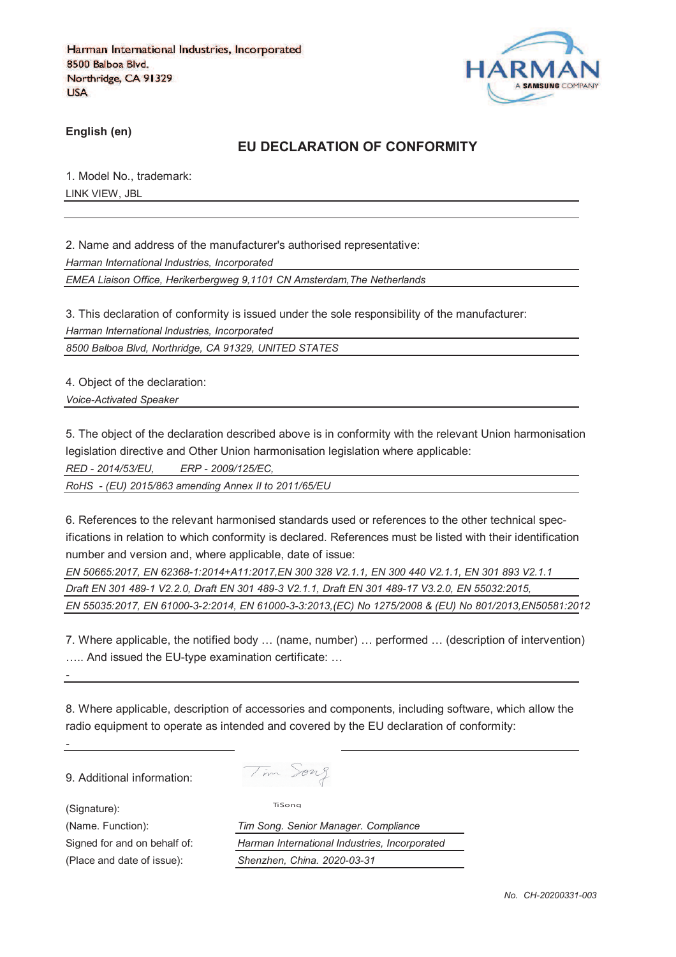

**English (en)**

# **EU DECLARATION OF CONFORMITY**

1. Model No., trademark: LINK VIEW, JBL

2. Name and address of the manufacturer's authorised representative:

*Harman International Industries, Incorporated*

*EMEA Liaison Office, Herikerbergweg 9,1101 CN Amsterdam,The Netherlands*

3. This declaration of conformity is issued under the sole responsibility of the manufacturer: *Harman International Industries, Incorporated*

*8500 Balboa Blvd, Northridge, CA 91329, UNITED STATES*

4. Object of the declaration:

*Voice-Activated Speaker* 

5. The object of the declaration described above is in conformity with the relevant Union harmonisation legislation directive and Other Union harmonisation legislation where applicable:

*RED - 2014/53/EU, ERP - 2009/125/EC,*

*RoHS - (EU) 2015/863 amending Annex II to 2011/65/EU*

6. References to the relevant harmonised standards used or references to the other technical specifications in relation to which conformity is declared. References must be listed with their identification number and version and, where applicable, date of issue:

*EN 50665:2017, EN 62368-1:2014+A11:2017,EN 300 328 V2.1.1, EN 300 440 V2.1.1, EN 301 893 V2.1.1 Draft EN 301 489-1 V2.2.0, Draft EN 301 489-3 V2.1.1, Draft EN 301 489-17 V3.2.0, EN 55032:2015, EN 55035:2017, EN 61000-3-2:2014, EN 61000-3-3:2013,(EC) No 1275/2008 & (EU) No 801/2013,EN50581:2012* 

7. Where applicable, the notified body … (name, number) … performed … (description of intervention) ….. And issued the EU-type examination certificate: …

8. Where applicable, description of accessories and components, including software, which allow the radio equipment to operate as intended and covered by the EU declaration of conformity:

9. Additional information:

(Signature):

*-*

*-*

Tim Song

TiSong

(Name. Function): *Tim Song. Senior Manager. Compliance* Signed for and on behalf of: *Harman International Industries, Incorporated* (Place and date of issue): *Shenzhen, China. 2020-03-31*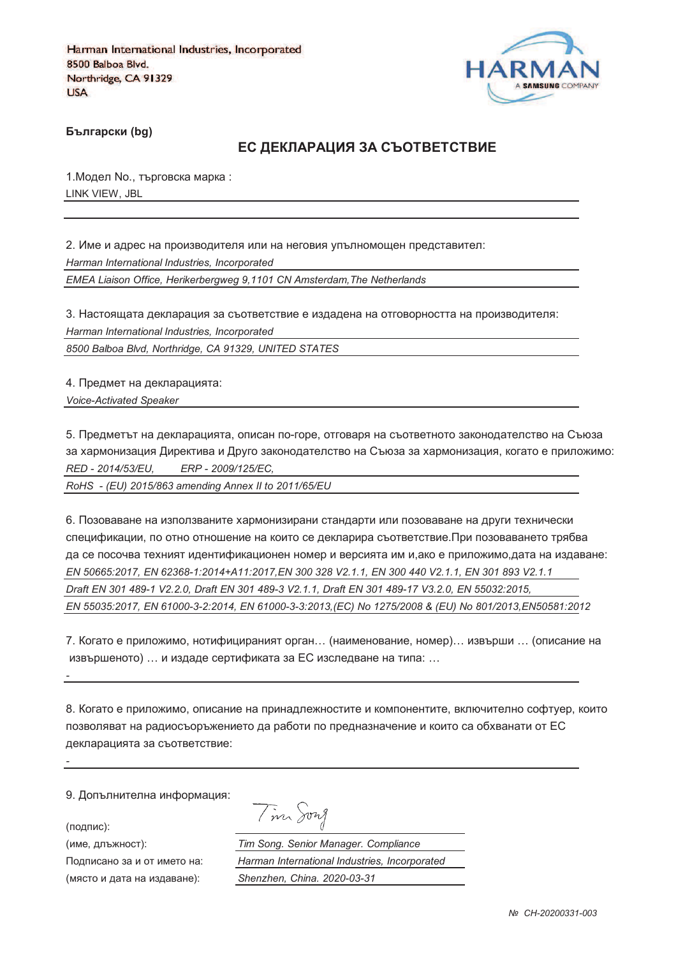

**Български (bg)** 

### ЕС ДЕКЛАРАЦИЯ ЗА СЪОТВЕТСТВИЕ

1. Модел No., търговска марка: LINK VIEW, JBL

2. Име и адрес на производителя или на неговия упълномощен представител: *Harman International Industries, Incorporated EMEA Liaison Office, Herikerbergweg 9,1101 CN Amsterdam,The Netherlands*

3. Настоящата декларация за съответствие е издадена на отговорността на производителя: *Harman International Industries, Incorporated*

*8500 Balboa Blvd, Northridge, CA 91329, UNITED STATES*

4. Предмет на декларацията: *Voice-Activated Speaker* 

5. Предметът на декларацията, описан по-горе, отговаря на съответното законодателство на Съюза за хармонизация Директива и Друго законодателство на Съюза за хармонизация, когато е приложимо: *RED - 2014/53/EU, ERP - 2009/125/EC,*

*RoHS - (EU) 2015/863 amending Annex II to 2011/65/EU*

6. Позоваване на използваните хармонизирани стандарти или позоваване на други технически спецификации, по отно отношение на които се декларира съответствие.При позоваването трябва да се посочва техният идентификационен номер и версията им и,ако е приложимо,дата на издаване: *EN 50665:2017, EN 62368-1:2014+A11:2017,EN 300 328 V2.1.1, EN 300 440 V2.1.1, EN 301 893 V2.1.1 Draft EN 301 489-1 V2.2.0, Draft EN 301 489-3 V2.1.1, Draft EN 301 489-17 V3.2.0, EN 55032:2015, EN 55035:2017, EN 61000-3-2:2014, EN 61000-3-3:2013,(EC) No 1275/2008 & (EU) No 801/2013,EN50581:2012* 

7. Когато е приложимо, нотифицираният орган… (наименование, номер)… извърши … (описание на извършеното) … и издаде сертификата за ЕС изследване на типа: …

8. Когато е приложимо, описание на принадлежностите и компонентите, включително софтуер, които позволяват на радиосъоръжението да работи по предназначение и които са обхванати от ЕС декларацията за съответствие:

9. Допълнителна информация:

(подпис):

*-*

*-*

(име, длъжност):

Подписано за и от името (място и дата на издав

Tim Song

): *Tim Song. Senior Manager. Compliance* : *Harman International Industries, Incorporated* ): *Shenzhen, China. 2020-03-31*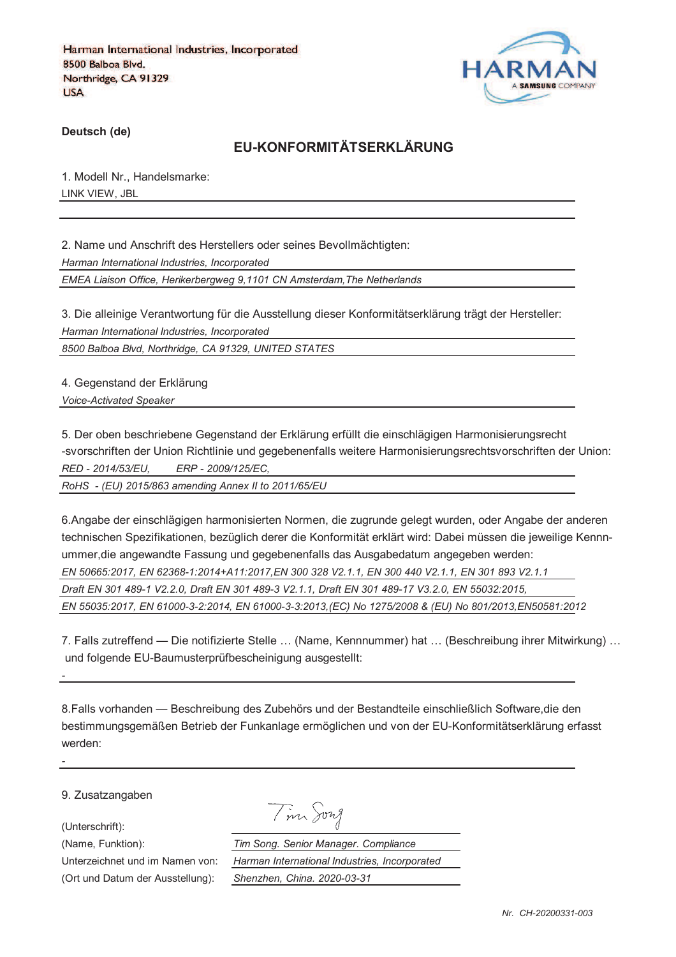

**Deutsch (de)**

# **EU-KONFORMITÄTSERKLÄRUNG**

1. Modell Nr., Handelsmarke: LINK VIEW, JBL

2. Name und Anschrift des Herstellers oder seines Bevollmächtigten: *Harman International Industries, Incorporated EMEA Liaison Office, Herikerbergweg 9,1101 CN Amsterdam,The Netherlands*

3. Die alleinige Verantwortung für die Ausstellung dieser Konformitätserklärung trägt der Hersteller: *Harman International Industries, Incorporated*

*8500 Balboa Blvd, Northridge, CA 91329, UNITED STATES*

4. Gegenstand der Erklärung *Voice-Activated Speaker* 

5. Der oben beschriebene Gegenstand der Erklärung erfüllt die einschlägigen Harmonisierungsrecht -svorschriften der Union Richtlinie und gegebenenfalls weitere Harmonisierungsrechtsvorschriften der Union: *RED - 2014/53/EU, ERP - 2009/125/EC,*

*RoHS - (EU) 2015/863 amending Annex II to 2011/65/EU*

6.Angabe der einschlägigen harmonisierten Normen, die zugrunde gelegt wurden, oder Angabe der anderen technischen Spezifikationen, bezüglich derer die Konformität erklärt wird: Dabei müssen die jeweilige Kennnummer,die angewandte Fassung und gegebenenfalls das Ausgabedatum angegeben werden: *EN 50665:2017, EN 62368-1:2014+A11:2017,EN 300 328 V2.1.1, EN 300 440 V2.1.1, EN 301 893 V2.1.1 Draft EN 301 489-1 V2.2.0, Draft EN 301 489-3 V2.1.1, Draft EN 301 489-17 V3.2.0, EN 55032:2015, EN 55035:2017, EN 61000-3-2:2014, EN 61000-3-3:2013,(EC) No 1275/2008 & (EU) No 801/2013,EN50581:2012* 

7. Falls zutreffend — Die notifizierte Stelle … (Name, Kennnummer) hat … (Beschreibung ihrer Mitwirkung) … und folgende EU-Baumusterprüfbescheinigung ausgestellt:

8.Falls vorhanden — Beschreibung des Zubehörs und der Bestandteile einschließlich Software,die den bestimmungsgemäßen Betrieb der Funkanlage ermöglichen und von der EU-Konformitätserklärung erfasst werden:

9. Zusatzangaben

(Unterschrift):

*-*

*-*

Tim Song

(Name, Funktion): *Tim Song. Senior Manager. Compliance* Unterzeichnet und im Namen von: *Harman International Industries, Incorporated* (Ort und Datum der Ausstellung): *Shenzhen, China. 2020-03-31*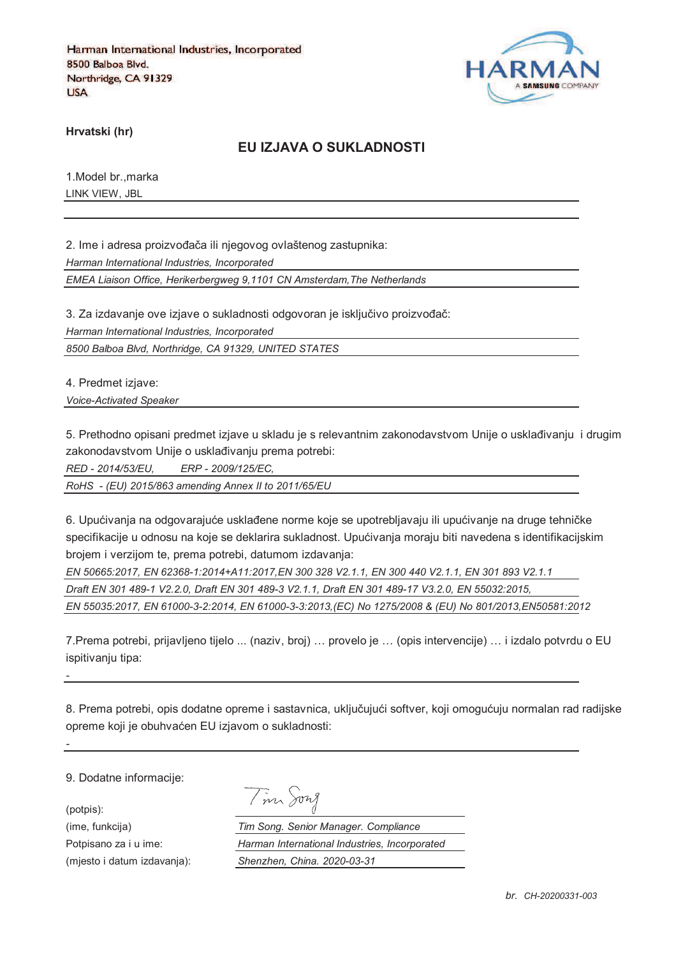

**Hrvatski (hr)**

### **EU IZJAVA O SUKLADNOSTI**

1.Model br.,marka LINK VIEW, JBL

2. Ime i adresa proizvođača ili njegovog ovlaštenog zastupnika: *Harman International Industries, Incorporated EMEA Liaison Office, Herikerbergweg 9,1101 CN Amsterdam,The Netherlands*

3. Za izdavanje ove izjave o sukladnosti odgovoran je isključivo proizvođač:

*Harman International Industries, Incorporated*

*8500 Balboa Blvd, Northridge, CA 91329, UNITED STATES*

4. Predmet izjave:

*Voice-Activated Speaker* 

5. Prethodno opisani predmet izjave u skladu je s relevantnim zakonodavstvom Unije o usklađivanju i drugim zakonodavstvom Unije o usklađivanju prema potrebi:

*RED - 2014/53/EU, ERP - 2009/125/EC,*

*RoHS - (EU) 2015/863 amending Annex II to 2011/65/EU*

6. Upućivanja na odgovarajuće usklađene norme koje se upotrebljavaju ili upućivanje na druge tehničke specifikacije u odnosu na koje se deklarira sukladnost. Upućivanja moraju biti navedena s identifikacijskim brojem i verzijom te, prema potrebi, datumom izdavanja:

*EN 50665:2017, EN 62368-1:2014+A11:2017,EN 300 328 V2.1.1, EN 300 440 V2.1.1, EN 301 893 V2.1.1 Draft EN 301 489-1 V2.2.0, Draft EN 301 489-3 V2.1.1, Draft EN 301 489-17 V3.2.0, EN 55032:2015, EN 55035:2017, EN 61000-3-2:2014, EN 61000-3-3:2013,(EC) No 1275/2008 & (EU) No 801/2013,EN50581:2012* 

7.Prema potrebi, prijavljeno tijelo ... (naziv, broj) … provelo je … (opis intervencije) … i izdalo potvrdu o EU ispitivaniu tipa:

8. Prema potrebi, opis dodatne opreme i sastavnica, uključujući softver, koji omogućuju normalan rad radijske opreme koji je obuhvaćen EU izjavom o sukladnosti:

9. Dodatne informacije:

*-*

*-*

(potpis):

|  | m son |
|--|-------|
|  |       |

Я

(ime, funkcija) *Tim Song. Senior Manager. Compliance* Potpisano za i u ime: *Harman International Industries, Incorporated* (mjesto i datum izdavanja): *Shenzhen, China. 2020-03-31*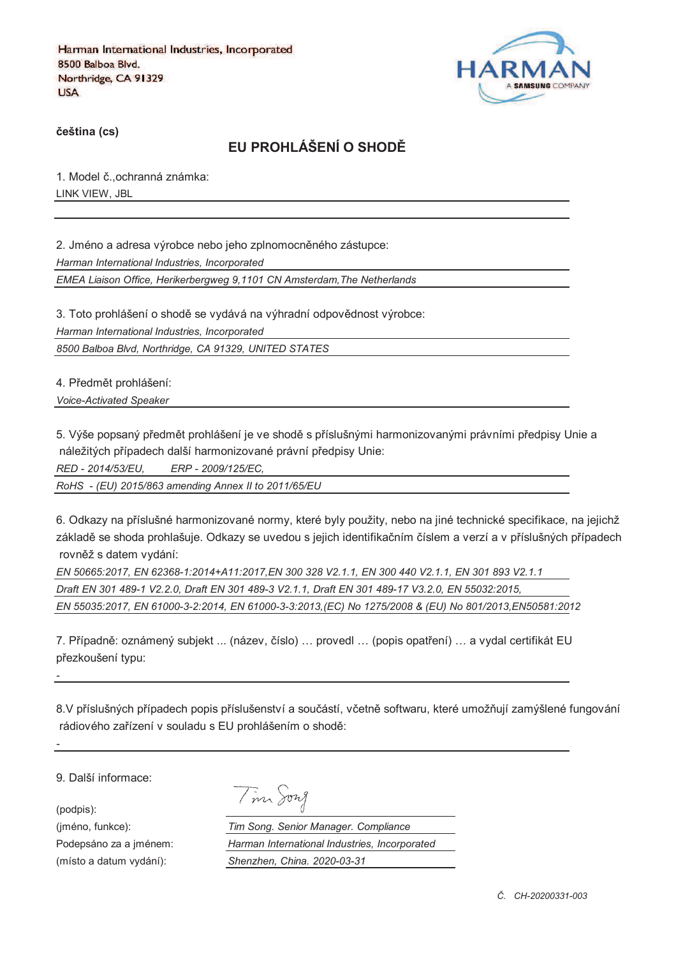

**%eština (cs)**

# **EU PROHLÁŠENÍ O SHOD&**

1. Model č., ochranná známka: LINK VIEW, JBL

2. Jméno a adresa výrobce nebo jeho zplnomocněného zástupce: *Harman International Industries, Incorporated EMEA Liaison Office, Herikerbergweg 9,1101 CN Amsterdam,The Netherlands*

3. Toto prohlášení o shodě se vydává na výhradní odpovědnost výrobce: *Harman International Industries, Incorporated 8500 Balboa Blvd, Northridge, CA 91329, UNITED STATES*

4. Předmět prohlášení:

*Voice-Activated Speaker* 

5. Výše popsaný předmět prohlášení je ve shodě s příslušnými harmonizovanými právními předpisy Unie a náležitých případech další harmonizované právní předpisy Unie:

*RED - 2014/53/EU, ERP - 2009/125/EC,*

*RoHS - (EU) 2015/863 amending Annex II to 2011/65/EU*

6. Odkazy na příslušné harmonizované normy, které byly použity, nebo na jiné technické specifikace, na jejichž základě se shoda prohlašuje. Odkazy se uvedou s jejich identifikačním číslem a verzí a v příslušných případech rovněž s datem vydání:

*EN 50665:2017, EN 62368-1:2014+A11:2017,EN 300 328 V2.1.1, EN 300 440 V2.1.1, EN 301 893 V2.1.1 Draft EN 301 489-1 V2.2.0, Draft EN 301 489-3 V2.1.1, Draft EN 301 489-17 V3.2.0, EN 55032:2015, EN 55035:2017, EN 61000-3-2:2014, EN 61000-3-3:2013,(EC) No 1275/2008 & (EU) No 801/2013,EN50581:2012* 

7. Případně: oznámený subjekt ... (název, číslo) ... provedl ... (popis opatření) ... a vydal certifikát EU přezkoušení typu:

8.V příslušných případech popis příslušenství a součástí, včetně softwaru, které umožňují zamýšlené fungování rádiového zařízení v souladu s EU prohlášením o shodě:

9. Další informace:

(podpis):

*-*

*-*

| 177.7 |
|-------|
|       |

(jméno, funkce): *Tim Song. Senior Manager. Compliance* Podepsáno za a jménem: *Harman International Industries, Incorporated* (místo a datum vydání): *Shenzhen, China. 2020-03-31*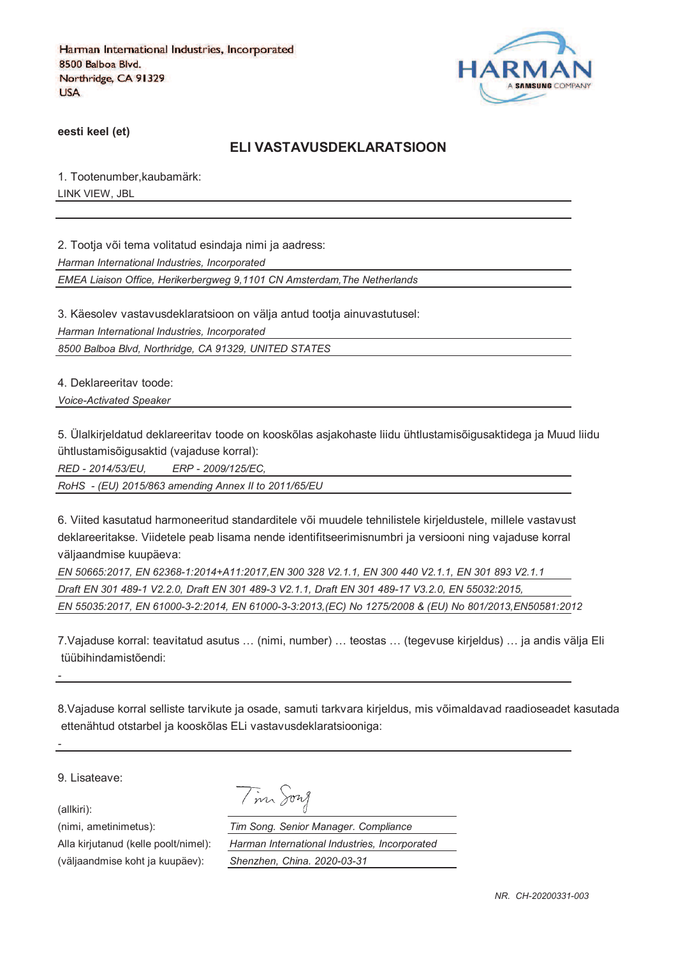

**eesti keel (et)**

#### **ELI VASTAVUSDEKLARATSIOON**

1. Tootenumber,kaubamärk: LINK VIEW, JBL

2. Tootja või tema volitatud esindaja nimi ja aadress:

*Harman International Industries, Incorporated*

*EMEA Liaison Office, Herikerbergweg 9,1101 CN Amsterdam,The Netherlands*

3. Käesolev vastavusdeklaratsioon on välja antud tootja ainuvastutusel:

*Harman International Industries, Incorporated*

*8500 Balboa Blvd, Northridge, CA 91329, UNITED STATES*

4. Deklareeritav toode:

*Voice-Activated Speaker* 

5. Ülalkirjeldatud deklareeritav toode on kooskõlas asjakohaste liidu ühtlustamisõigusaktidega ja Muud liidu ühtlustamisõigusaktid (vajaduse korral):

*RED - 2014/53/EU, ERP - 2009/125/EC,*

*RoHS - (EU) 2015/863 amending Annex II to 2011/65/EU*

6. Viited kasutatud harmoneeritud standarditele või muudele tehnilistele kirjeldustele, millele vastavust deklareeritakse. Viidetele peab lisama nende identifitseerimisnumbri ja versiooni ning vajaduse korral väljaandmise kuupäeva:

*EN 50665:2017, EN 62368-1:2014+A11:2017,EN 300 328 V2.1.1, EN 300 440 V2.1.1, EN 301 893 V2.1.1 Draft EN 301 489-1 V2.2.0, Draft EN 301 489-3 V2.1.1, Draft EN 301 489-17 V3.2.0, EN 55032:2015, EN 55035:2017, EN 61000-3-2:2014, EN 61000-3-3:2013,(EC) No 1275/2008 & (EU) No 801/2013,EN50581:2012* 

7.Vajaduse korral: teavitatud asutus … (nimi, number) … teostas … (tegevuse kirjeldus) … ja andis välja Eli tüübihindamistõendi:

8.Vajaduse korral selliste tarvikute ja osade, samuti tarkvara kirjeldus, mis võimaldavad raadioseadet kasutada ettenähtud otstarbel ja kooskõlas ELi vastavusdeklaratsiooniga:

9. Lisateave:

(allkiri):

*-*

*-*

(nimi, ametinimetus): *Tim Song. Senior Manager. Compliance* Alla kirjutanud (kelle poolt/nimel): *Harman International Industries, Incorporated* (väljaandmise koht ja kuupäev): *Shenzhen, China. 2020-03-31*

Tim Song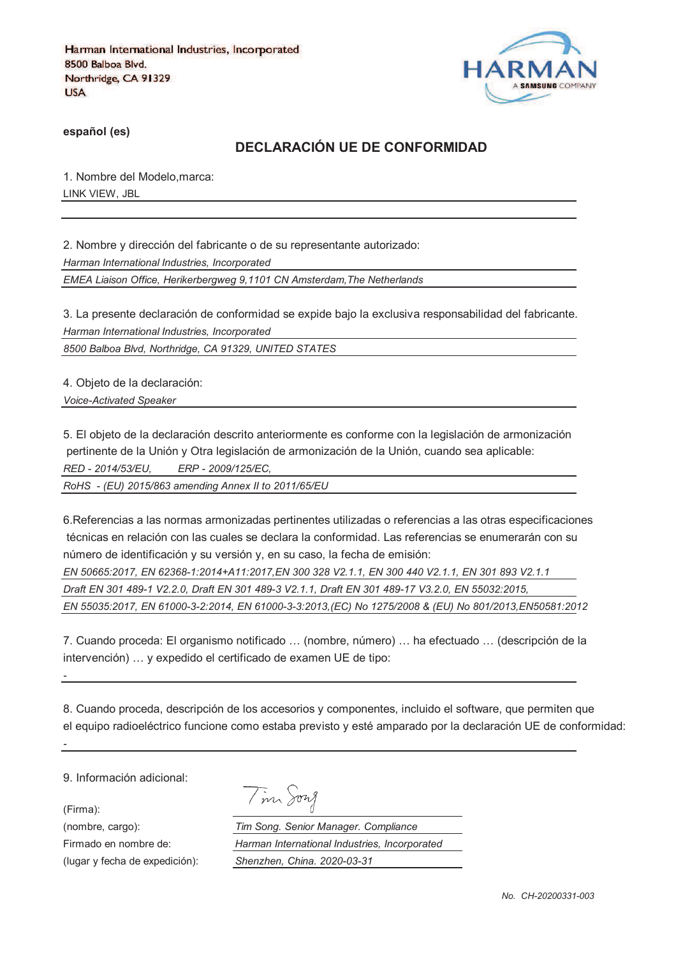

**español (es)**

# **DECLARACIÓN UE DE CONFORMIDAD**

1. Nombre del Modelo,marca: LINK VIEW, JBL

2. Nombre y dirección del fabricante o de su representante autorizado: *Harman International Industries, Incorporated EMEA Liaison Office, Herikerbergweg 9,1101 CN Amsterdam,The Netherlands*

3. La presente declaración de conformidad se expide bajo la exclusiva responsabilidad del fabricante. *Harman International Industries, Incorporated*

*8500 Balboa Blvd, Northridge, CA 91329, UNITED STATES*

4. Objeto de la declaración:

*Voice-Activated Speaker* 

5. El objeto de la declaración descrito anteriormente es conforme con la legislación de armonización pertinente de la Unión y Otra legislación de armonización de la Unión, cuando sea aplicable: *RED - 2014/53/EU, ERP - 2009/125/EC,*

*RoHS - (EU) 2015/863 amending Annex II to 2011/65/EU*

6.Referencias a las normas armonizadas pertinentes utilizadas o referencias a las otras especificaciones técnicas en relación con las cuales se declara la conformidad. Las referencias se enumerarán con su número de identificación y su versión y, en su caso, la fecha de emisión:

*EN 50665:2017, EN 62368-1:2014+A11:2017,EN 300 328 V2.1.1, EN 300 440 V2.1.1, EN 301 893 V2.1.1 Draft EN 301 489-1 V2.2.0, Draft EN 301 489-3 V2.1.1, Draft EN 301 489-17 V3.2.0, EN 55032:2015, EN 55035:2017, EN 61000-3-2:2014, EN 61000-3-3:2013,(EC) No 1275/2008 & (EU) No 801/2013,EN50581:2012* 

7. Cuando proceda: El organismo notificado … (nombre, número) … ha efectuado … (descripción de la intervención) … y expedido el certificado de examen UE de tipo:

8. Cuando proceda, descripción de los accesorios y componentes, incluido el software, que permiten que el equipo radioeléctrico funcione como estaba previsto y esté amparado por la declaración UE de conformidad:

9. Información adicional:

(Firma):

*-*

*-*

(lugar y fecha de expedición): *Shenzhen, China. 2020-03-31*

Tim Song

(nombre, cargo): *Tim Song. Senior Manager. Compliance* Firmado en nombre de: *Harman International Industries, Incorporated*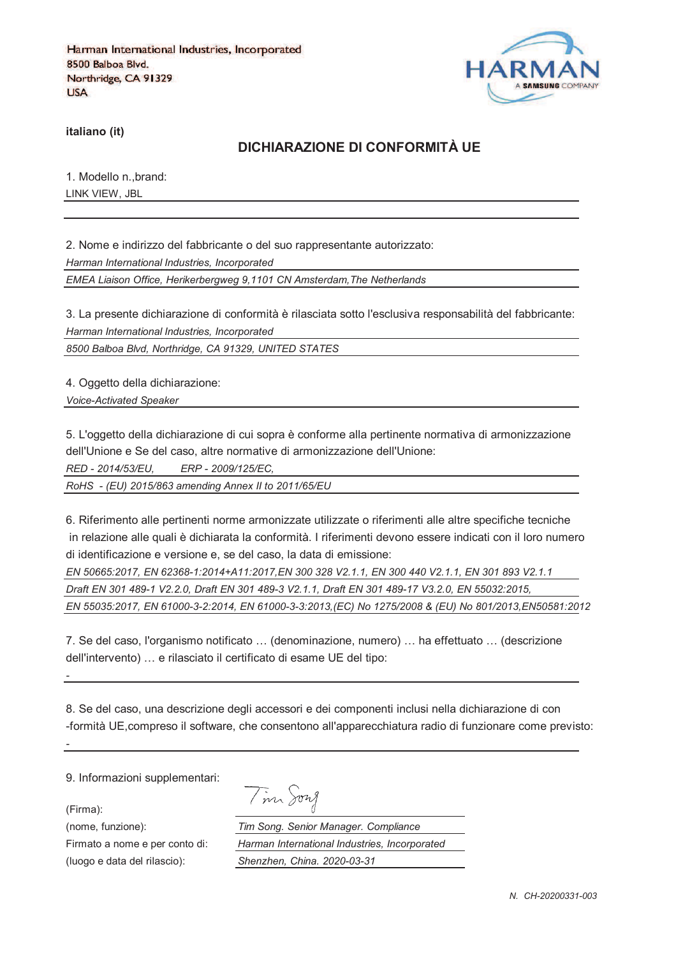

**italiano (it)**

### **DICHIARAZIONE DI CONFORMITÀ UE**

1. Modello n.,brand: LINK VIEW, JBL

2. Nome e indirizzo del fabbricante o del suo rappresentante autorizzato: *Harman International Industries, Incorporated EMEA Liaison Office, Herikerbergweg 9,1101 CN Amsterdam,The Netherlands*

3. La presente dichiarazione di conformità è rilasciata sotto l'esclusiva responsabilità del fabbricante: *Harman International Industries, Incorporated*

*8500 Balboa Blvd, Northridge, CA 91329, UNITED STATES*

4. Oggetto della dichiarazione:

*Voice-Activated Speaker* 

5. L'oggetto della dichiarazione di cui sopra è conforme alla pertinente normativa di armonizzazione dell'Unione e Se del caso, altre normative di armonizzazione dell'Unione:

*RED - 2014/53/EU, ERP - 2009/125/EC,*

*RoHS - (EU) 2015/863 amending Annex II to 2011/65/EU*

6. Riferimento alle pertinenti norme armonizzate utilizzate o riferimenti alle altre specifiche tecniche in relazione alle quali è dichiarata la conformità. I riferimenti devono essere indicati con il loro numero di identificazione e versione e, se del caso, la data di emissione:

*EN 50665:2017, EN 62368-1:2014+A11:2017,EN 300 328 V2.1.1, EN 300 440 V2.1.1, EN 301 893 V2.1.1 Draft EN 301 489-1 V2.2.0, Draft EN 301 489-3 V2.1.1, Draft EN 301 489-17 V3.2.0, EN 55032:2015, EN 55035:2017, EN 61000-3-2:2014, EN 61000-3-3:2013,(EC) No 1275/2008 & (EU) No 801/2013,EN50581:2012* 

7. Se del caso, l'organismo notificato … (denominazione, numero) … ha effettuato … (descrizione dell'intervento) … e rilasciato il certificato di esame UE del tipo:

8. Se del caso, una descrizione degli accessori e dei componenti inclusi nella dichiarazione di con -formità UE,compreso il software, che consentono all'apparecchiatura radio di funzionare come previsto:

9. Informazioni supplementari:

(Firma):

*-*

*-*

Tim Song

(nome, funzione): *Tim Song. Senior Manager. Compliance* Firmato a nome e per conto di: *Harman International Industries, Incorporated* (luogo e data del rilascio): *Shenzhen, China. 2020-03-31*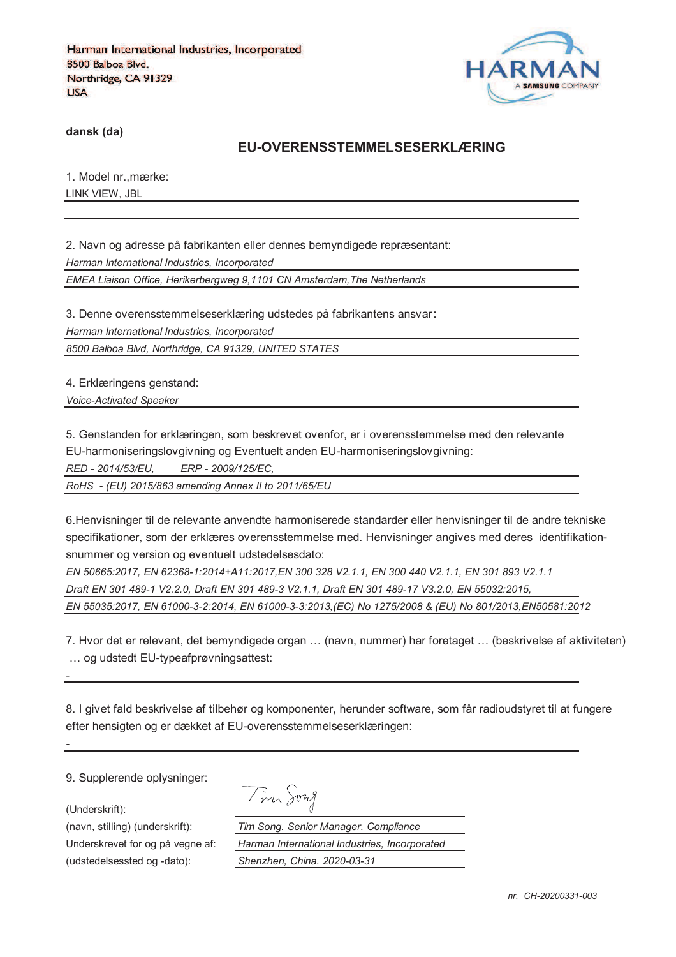

**dansk (da)**

#### **EU-OVERENSSTEMMELSESERKLÆRING**

1. Model nr.,mærke: LINK VIEW, JBL

2. Navn og adresse på fabrikanten eller dennes bemyndigede repræsentant: *Harman International Industries, Incorporated EMEA Liaison Office, Herikerbergweg 9,1101 CN Amsterdam,The Netherlands*

3. Denne overensstemmelseserklæring udstedes på fabrikantens ansvar *Harman International Industries, Incorporated 8500 Balboa Blvd, Northridge, CA 91329, UNITED STATES*

4. Erklæringens genstand:

*Voice-Activated Speaker* 

5. Genstanden for erklæringen, som beskrevet ovenfor, er i overensstemmelse med den relevante

EU-harmoniseringslovgivning og Eventuelt anden EU-harmoniseringslovgivning:

*RED - 2014/53/EU, ERP - 2009/125/EC,*

*RoHS - (EU) 2015/863 amending Annex II to 2011/65/EU*

6.Henvisninger til de relevante anvendte harmoniserede standarder eller henvisninger til de andre tekniske specifikationer, som der erklæres overensstemmelse med. Henvisninger angives med deres identifikationsnummer og version og eventuelt udstedelsesdato:

*EN 50665:2017, EN 62368-1:2014+A11:2017,EN 300 328 V2.1.1, EN 300 440 V2.1.1, EN 301 893 V2.1.1 Draft EN 301 489-1 V2.2.0, Draft EN 301 489-3 V2.1.1, Draft EN 301 489-17 V3.2.0, EN 55032:2015, EN 55035:2017, EN 61000-3-2:2014, EN 61000-3-3:2013,(EC) No 1275/2008 & (EU) No 801/2013,EN50581:2012* 

7. Hvor det er relevant, det bemyndigede organ … (navn, nummer) har foretaget … (beskrivelse af aktiviteten) … og udstedt EU-typeafprøvningsattest:

8. I givet fald beskrivelse af tilbehør og komponenter, herunder software, som får radioudstyret til at fungere efter hensigten og er dækket af EU-overensstemmelseserklæringen:

9. Supplerende oplysninger:

(Underskrift):

*-*

*-*

(udstedelsessted og -dato): *Shenzhen, China. 2020-03-31*

Tim Song

(navn, stilling) (underskrift): *Tim Song. Senior Manager. Compliance* Underskrevet for og på vegne af: *Harman International Industries, Incorporated*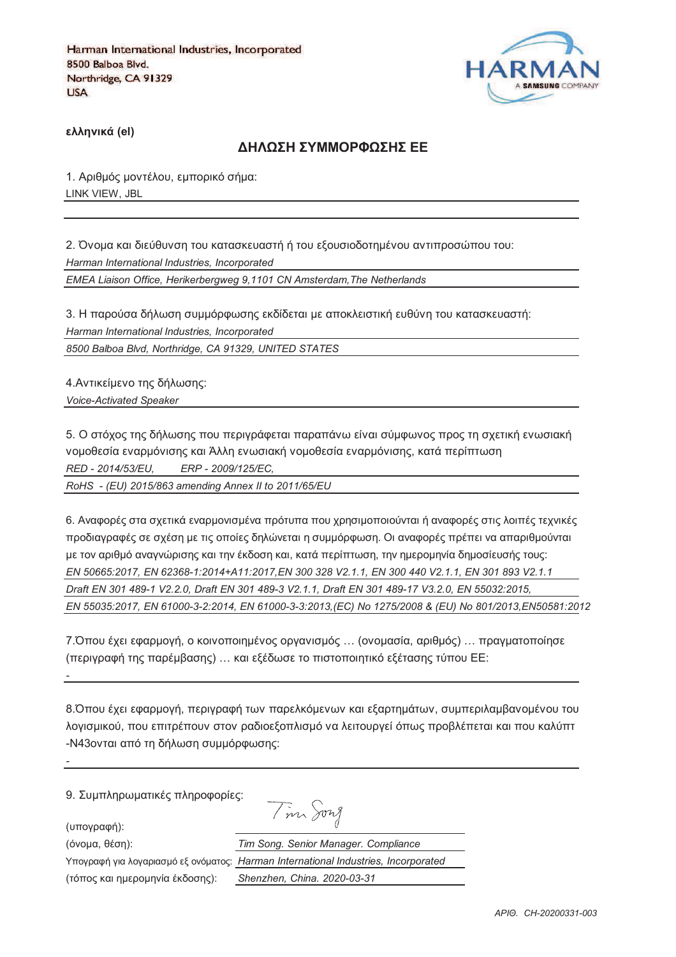

**)\*\*+,-./ (el)**

#### **ΔΗΛΟΣΗ ΣΥΜΜΟΡΦΟΣΗΣ ΕΕ**

1. Αριθμός μοντέλου, εμπορικό σήμα: LINK VIEW, JBL

2. Όνομα και διεύθυνση του κατασκευαστή ή του εξουσιοδοτημένου αντιπροσώπου του: *Harman International Industries, Incorporated EMEA Liaison Office, Herikerbergweg 9,1101 CN Amsterdam,The Netherlands*

3. Η παρούσα δήλωση συμμόρφωσης εκδίδεται με αποκλειστική ευθύνη του κατασκευαστή: *Harman International Industries, Incorporated 8500 Balboa Blvd, Northridge, CA 91329, UNITED STATES*

4. Αντικείμενο της δήλωσης:

*Voice-Activated Speaker* 

5. Ο στόχος της δήλωσης που περιγράφεται παραπάνω είναι σύμφωνος προς τη σχετική ενωσιακή vομοθεσία εναρμόνισης και Άλλη ενωσιακή νομοθεσία εναρμόνισης, κατά περίπτωση *RED - 2014/53/EU, ERP - 2009/125/EC,*

*RoHS - (EU) 2015/863 amending Annex II to 2011/65/EU*

6. Αναφορές στα σχετικά εναρμονισμένα πρότυπα που χρησιμοποιούνται ή αναφορές στις λοιπές τεχνικές προδιαγραφές σε σχέση με τις οποίες δηλώνεται η συμμόρφωση. Οι αναφορές πρέπει να απαριθμούνται με τον αριθμό αναννώρισης και την έκδοση και, κατά περίπτωση, την ημερομηνία δημοσίευσής τους; *EN 50665:2017, EN 62368-1:2014+A11:2017,EN 300 328 V2.1.1, EN 300 440 V2.1.1, EN 301 893 V2.1.1 Draft EN 301 489-1 V2.2.0, Draft EN 301 489-3 V2.1.1, Draft EN 301 489-17 V3.2.0, EN 55032:2015, EN 55035:2017, EN 61000-3-2:2014, EN 61000-3-3:2013,(EC) No 1275/2008 & (EU) No 801/2013,EN50581:2012* 

7.Όπου έχει εφαρμογή, ο κοινοποιημένος οργανισμός ... (ονομασία, αριθμός) ... πραγματοποίησε (περιγραφή της παρέμβασης) ... και εξέδωσε το πιστοποιητικό εξέτασης τύπου ΕΕ:

8. Όπου έχει εφαρμογή, περιγραφή των παρελκόμενων και εξαρτημάτων, συμπεριλαμβανομένου του λογισμικού, που επιτρέπουν στον ραδιοεξοπλισμό να λειτουργεί όπως προβλέπεται και που καλύπτ -N43ονται από τη δήλωση συμμόρφωσης:

9. Συμπληρωματικές πληροφορίες: Tim Song

(υπογραφή):

*-*

*-*

(3652@, 18>D): *Tim Song. Senior Manager. Compliance*

Υπογραφή για λογαριασμό εξ ονόματος: *Η* 

(73<54 =@0 D2;/52D6J@ 8=B5>D4): *Shenzhen, China. 2020-03-31*

| im Song. Senior Manager. Compliance          |
|----------------------------------------------|
| arman International Industries, Incorporated |
| henzhen, China. 2020-03-31                   |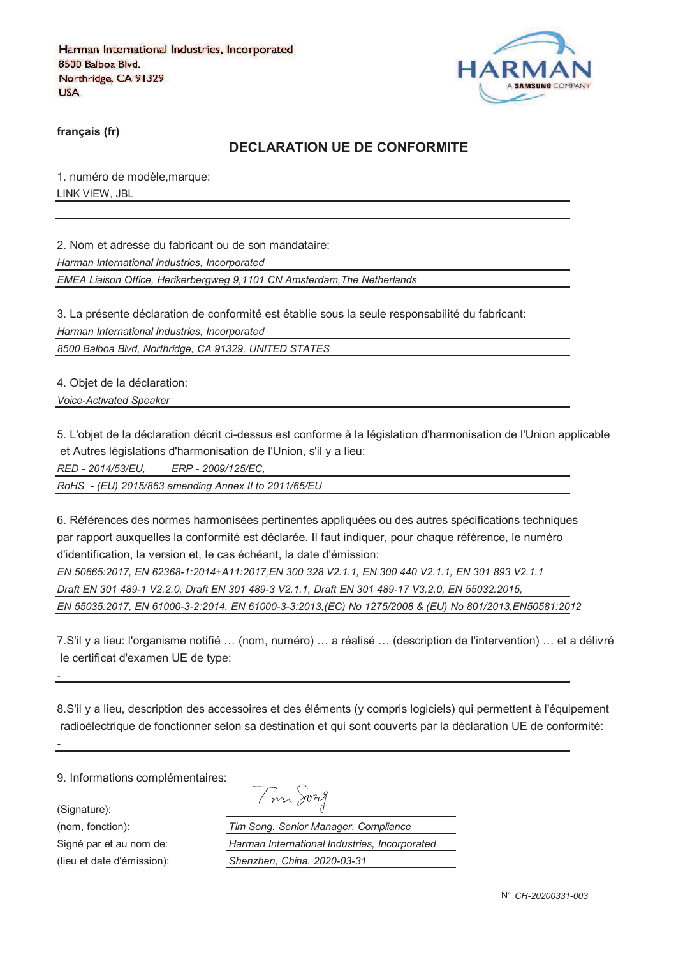

**français (fr)**

### **DECLARATION UE DE CONFORMITE**

1. numéro de modèle,marque: LINK VIEW, JBL

2. Nom et adresse du fabricant ou de son mandataire:

*Harman International Industries, Incorporated*

*EMEA Liaison Office, Herikerbergweg 9,1101 CN Amsterdam,The Netherlands*

3. La présente déclaration de conformité est établie sous la seule responsabilité du fabricant: *Harman International Industries, Incorporated*

*8500 Balboa Blvd, Northridge, CA 91329, UNITED STATES*

4. Objet de la déclaration: *Voice-Activated Speaker* 

5. L'objet de la déclaration décrit ci-dessus est conforme à la législation d'harmonisation de l'Union applicable et Autres législations d'harmonisation de l'Union, s'il y a lieu:

*RED - 2014/53/EU, ERP - 2009/125/EC,*

*RoHS - (EU) 2015/863 amending Annex II to 2011/65/EU*

6. Références des normes harmonisées pertinentes appliquées ou des autres spécifications techniques par rapport auxquelles la conformité est déclarée. Il faut indiquer, pour chaque référence, le numéro d'identification, la version et, le cas échéant, la date d'émission:

*EN 50665:2017, EN 62368-1:2014+A11:2017,EN 300 328 V2.1.1, EN 300 440 V2.1.1, EN 301 893 V2.1.1 Draft EN 301 489-1 V2.2.0, Draft EN 301 489-3 V2.1.1, Draft EN 301 489-17 V3.2.0, EN 55032:2015, EN 55035:2017, EN 61000-3-2:2014, EN 61000-3-3:2013,(EC) No 1275/2008 & (EU) No 801/2013,EN50581:2012* 

7.S'il y a lieu: l'organisme notifié … (nom, numéro) … a réalisé … (description de l'intervention) … et a délivré le certificat d'examen UE de type:

8.S'il y a lieu, description des accessoires et des éléments (y compris logiciels) qui permettent à l'équipement radioélectrique de fonctionner selon sa destination et qui sont couverts par la déclaration UE de conformité:

9. Informations complémentaires:

(Signature):

*-*

*-*

(nom, fonction): *T*<br>
Signé par et au nom de: *F* 

Signé par et au nom de:

(lieu et date d'émission):

| $\boldsymbol{\nu}$ | าพา ⁄ |
|--------------------|-------|
|                    |       |

| 'im Song. Senior Manager. Compliance          |
|-----------------------------------------------|
| Harman International Industries, Incorporated |
| Shenzhen, China. 2020-03-31                   |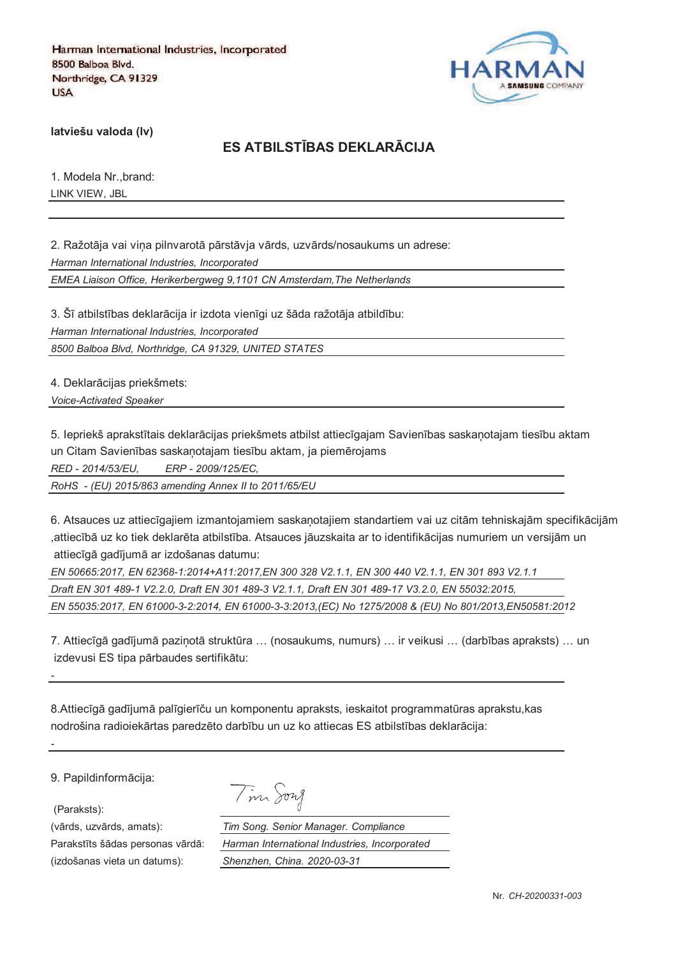

**latviešu valoda (lv)**

# **ES ATBILSTJBAS DEKLARKCIJA**

1. Modela Nr.,brand: LINK VIEW, JBL

2. Ražotāja vai vina pilnvarotā pārstāvja vārds, uzvārds/nosaukums un adrese: *Harman International Industries, Incorporated EMEA Liaison Office, Herikerbergweg 9,1101 CN Amsterdam,The Netherlands*

3. Šī atbilstības deklarācija ir izdota vienīgi uz šāda ražotāja atbildību: *Harman International Industries, Incorporated 8500 Balboa Blvd, Northridge, CA 91329, UNITED STATES*

4. Deklarācijas priekšmets:

*Voice-Activated Speaker* 

5. Iepriekš aprakstītais deklarācijas priekšmets atbilst attiecīgajam Savienības saskanotajam tiesību aktam un Citam Savienības saskaņotajam tiesību aktam, ja piemērojams

*RED - 2014/53/EU, ERP - 2009/125/EC,*

*RoHS - (EU) 2015/863 amending Annex II to 2011/65/EU*

6. Atsauces uz attiecīgajiem izmantojamiem saskanotajiem standartiem vai uz citām tehniskajām specifikācijām ,attiecībā uz ko tiek deklarēta atbilstība. Atsauces jāuzskaita ar to identifikācijas numuriem un versijām un attiecīgā gadījumā ar izdošanas datumu:

*EN 50665:2017, EN 62368-1:2014+A11:2017,EN 300 328 V2.1.1, EN 300 440 V2.1.1, EN 301 893 V2.1.1 Draft EN 301 489-1 V2.2.0, Draft EN 301 489-3 V2.1.1, Draft EN 301 489-17 V3.2.0, EN 55032:2015, EN 55035:2017, EN 61000-3-2:2014, EN 61000-3-3:2013,(EC) No 1275/2008 & (EU) No 801/2013,EN50581:2012* 

7. Attiecīgā gadījumā pazinotā struktūra ... (nosaukums, numurs) ... ir veikusi ... (darbības apraksts) ... un izdevusi ES tipa pārbaudes sertifikātu:

8.Attiecīgā gadījumā palīgierīču un komponentu apraksts, ieskaitot programmatūras aprakstu, kas nodrošina radioiekārtas paredzēto darbību un uz ko attiecas ES atbilstības deklarācija:

9. Papildinformācija:

(Paraksts):

*-*

*-*

(izdošanas vieta un datums): *Shenzhen, China. 2020-03-31*

| $\sqrt{ }$ | 1974 <i>A</i> |
|------------|---------------|
|------------|---------------|

(vārds, uzvārds, amats): *Tim Song. Senior Manager. Compliance* Parakstīts šādas personas vārdā: *Harman International Industries, Incorporated*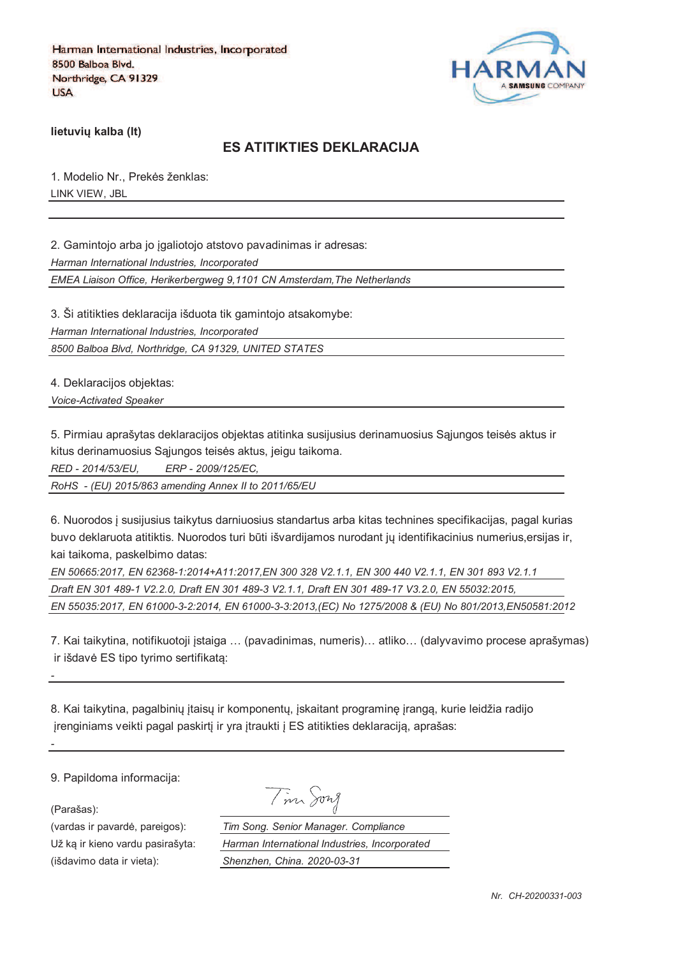

**lietuviu kalba (It)** 

### **ES ATITIKTIES DEKLARACIJA**

1. Modelio Nr., Prekės ženklas: LINK VIEW, JBL

2. Gamintojo arba jo igaliotojo atstovo pavadinimas ir adresas:

*Harman International Industries, Incorporated*

*EMEA Liaison Office, Herikerbergweg 9,1101 CN Amsterdam,The Netherlands*

3. Ši atitikties deklaracija išduota tik gamintojo atsakomybe:

*Harman International Industries, Incorporated*

*8500 Balboa Blvd, Northridge, CA 91329, UNITED STATES*

4. Deklaracijos objektas:

*Voice-Activated Speaker* 

5. Pirmiau aprašytas deklaracijos objektas atitinka susijusius derinamuosius Sajungos teisės aktus ir kitus derinamuosius Sąjungos teisės aktus, jeigu taikoma.

*RED - 2014/53/EU, ERP - 2009/125/EC,*

*RoHS - (EU) 2015/863 amending Annex II to 2011/65/EU*

6. Nuorodos ` susijusius taikytus darniuosius standartus arba kitas technines specifikacijas, pagal kurias buvo deklaruota atitiktis. Nuorodos turi būti išvardijamos nurodant jų identifikacinius numerius,ersijas ir, kai taikoma, paskelbimo datas:

| EN 50665:2017, EN 62368-1:2014+A11:2017,EN 300 328 V2.1.1, EN 300 440 V2.1.1, EN 301 893 V2.1.1        |
|--------------------------------------------------------------------------------------------------------|
| Draft EN 301 489-1 V2.2.0, Draft EN 301 489-3 V2.1.1, Draft EN 301 489-17 V3.2.0, EN 55032:2015,       |
| EN 55035:2017, EN 61000-3-2:2014, EN 61000-3-3:2013, (EC) No 1275/2008 & (EU) No 801/2013,EN50581:2012 |

7. Kai taikytina, notifikuotoji `staiga … (pavadinimas, numeris)… atliko… (dalyvavimo procese aprašymas) ir išdavė ES tipo tyrimo sertifikata:

8. Kai taikytina, pagalbinių įtaisų ir komponentų, įskaitant programinę įrangą, kurie leidžia radijo jrenginiams veikti pagal paskirtį ir yra įtraukti į ES atitikties deklaraciją, aprašas:

9. Papildoma informacija:

(Parašas):

*-*

*-*

(vardas ir pavard\_, pareigos): *Tim Song. Senior Manager. Compliance* Už ka ir kieno vardu pasirašyta: *Harman International Industries, Incorporated* (išdavimo data ir vieta): *Shenzhen, China. 2020-03-31*

| m Jory                 |  |
|------------------------|--|
| g. Senior Manager. Com |  |
|                        |  |

*Nr. CH-20200331-003*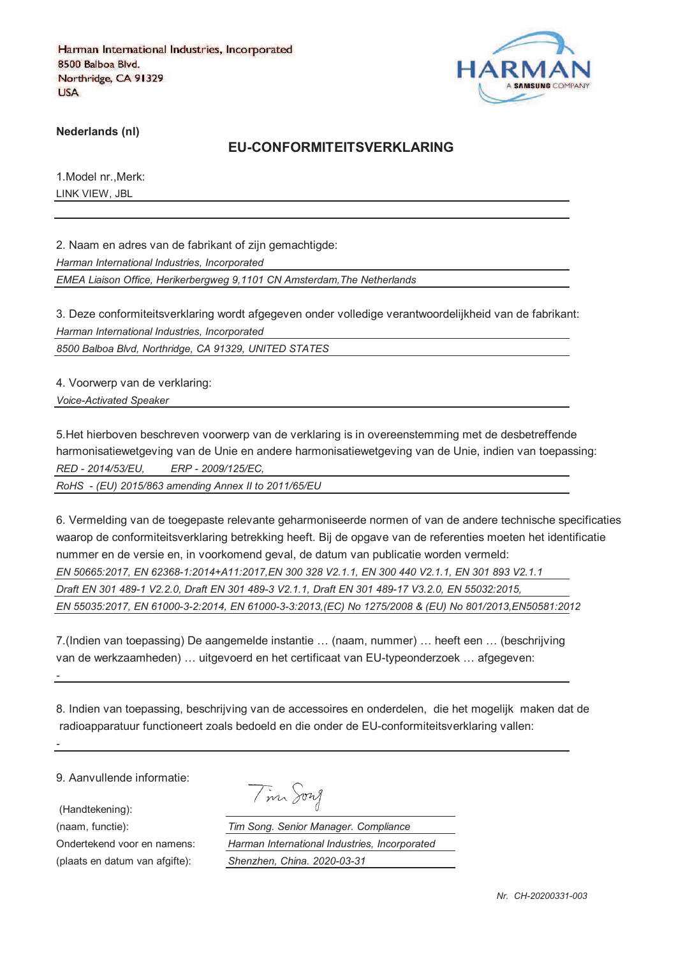

**Nederlands (nl)**

#### **EU-CONFORMITEITSVERKLARING**

1.Model nr.,Merk: LINK VIEW, JBL

2. Naam en adres van de fabrikant of zijn gemachtigde:

*Harman International Industries, Incorporated*

*EMEA Liaison Office, Herikerbergweg 9,1101 CN Amsterdam,The Netherlands*

3. Deze conformiteitsverklaring wordt afgegeven onder volledige verantwoordelijkheid van de fabrikant: *Harman International Industries, Incorporated*

*8500 Balboa Blvd, Northridge, CA 91329, UNITED STATES*

4. Voorwerp van de verklaring:

*Voice-Activated Speaker* 

5.Het hierboven beschreven voorwerp van de verklaring is in overeenstemming met de desbetreffende harmonisatiewetgeving van de Unie en andere harmonisatiewetgeving van de Unie, indien van toepassing: *RED - 2014/53/EU, ERP - 2009/125/EC,*

*RoHS - (EU) 2015/863 amending Annex II to 2011/65/EU*

6. Vermelding van de toegepaste relevante geharmoniseerde normen of van de andere technische specificaties waarop de conformiteitsverklaring betrekking heeft. Bij de opgave van de referenties moeten het identificatie nummer en de versie en, in voorkomend geval, de datum van publicatie worden vermeld: *EN 50665:2017, EN 62368-1:2014+A11:2017,EN 300 328 V2.1.1, EN 300 440 V2.1.1, EN 301 893 V2.1.1 Draft EN 301 489-1 V2.2.0, Draft EN 301 489-3 V2.1.1, Draft EN 301 489-17 V3.2.0, EN 55032:2015, EN 55035:2017, EN 61000-3-2:2014, EN 61000-3-3:2013,(EC) No 1275/2008 & (EU) No 801/2013,EN50581:2012* 

7.(Indien van toepassing) De aangemelde instantie … (naam, nummer) … heeft een … (beschrijving van de werkzaamheden) … uitgevoerd en het certificaat van EU-typeonderzoek … afgegeven:

8. Indien van toepassing, beschrijving van de accessoires en onderdelen, die het mogelijk maken dat de radioapparatuur functioneert zoals bedoeld en die onder de EU-conformiteitsverklaring vallen:

9. Aanvullende informatie:

(Handtekening):

*-*

*-*

(plaats en datum van afgifte): *Shenzhen, China. 2020-03-31*

|  | vw |
|--|----|
|--|----|

(naam, functie): *Tim Song. Senior Manager. Compliance* Ondertekend voor en namens: *Harman International Industries, Incorporated*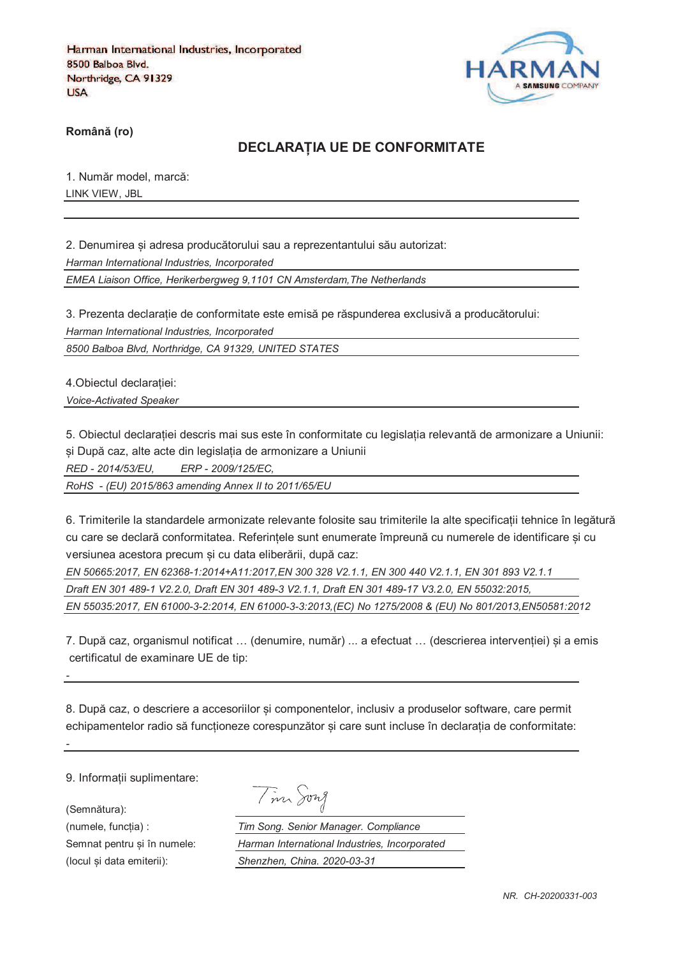

**RomânO (ro)**

#### **DECLARAPIA UE DE CONFORMITATE**

1. Număr model, marcă: LINK VIEW, JBL

2. Denumirea si adresa producătorului sau a reprezentantului său autorizat: *Harman International Industries, Incorporated EMEA Liaison Office, Herikerbergweg 9,1101 CN Amsterdam,The Netherlands*

3. Prezenta declarație de conformitate este emisă pe răspunderea exclusivă a producătorului:

*Harman International Industries, Incorporated*

*8500 Balboa Blvd, Northridge, CA 91329, UNITED STATES*

4. Obiectul declaratiei: *Voice-Activated Speaker* 

5. Obiectul declaratiei descris mai sus este în conformitate cu legislatia relevantă de armonizare a Uniunii: și După caz, alte acte din legislația de armonizare a Uniunii

*RED - 2014/53/EU, ERP - 2009/125/EC,*

*RoHS - (EU) 2015/863 amending Annex II to 2011/65/EU*

6. Trimiterile la standardele armonizate relevante folosite sau trimiterile la alte specificatii tehnice în legătură cu care se declară conformitatea. Referintele sunt enumerate împreună cu numerele de identificare si cu versiunea acestora precum si cu data eliberării, după caz:

*EN 50665:2017, EN 62368-1:2014+A11:2017,EN 300 328 V2.1.1, EN 300 440 V2.1.1, EN 301 893 V2.1.1 Draft EN 301 489-1 V2.2.0, Draft EN 301 489-3 V2.1.1, Draft EN 301 489-17 V3.2.0, EN 55032:2015, EN 55035:2017, EN 61000-3-2:2014, EN 61000-3-3:2013,(EC) No 1275/2008 & (EU) No 801/2013,EN50581:2012* 

7. După caz, organismul notificat ... (denumire, număr) ... a efectuat ... (descrierea interventiei) si a emis certificatul de examinare UE de tip:

8. După caz, o descriere a accesoriilor și componentelor, inclusiv a produselor software, care permit echipamentelor radio să funcționeze corespunzător și care sunt incluse în declarația de conformitate:

9. Informatii suplimentare:

(Semnătura):

*-*

*-*

Tim Song

(numele, funcgia) : *Tim Song. Senior Manager. Compliance* Semnat pentru si în numele: *Harman International Industries, Incorporated* (locul fi data emiterii): *Shenzhen, China. 2020-03-31*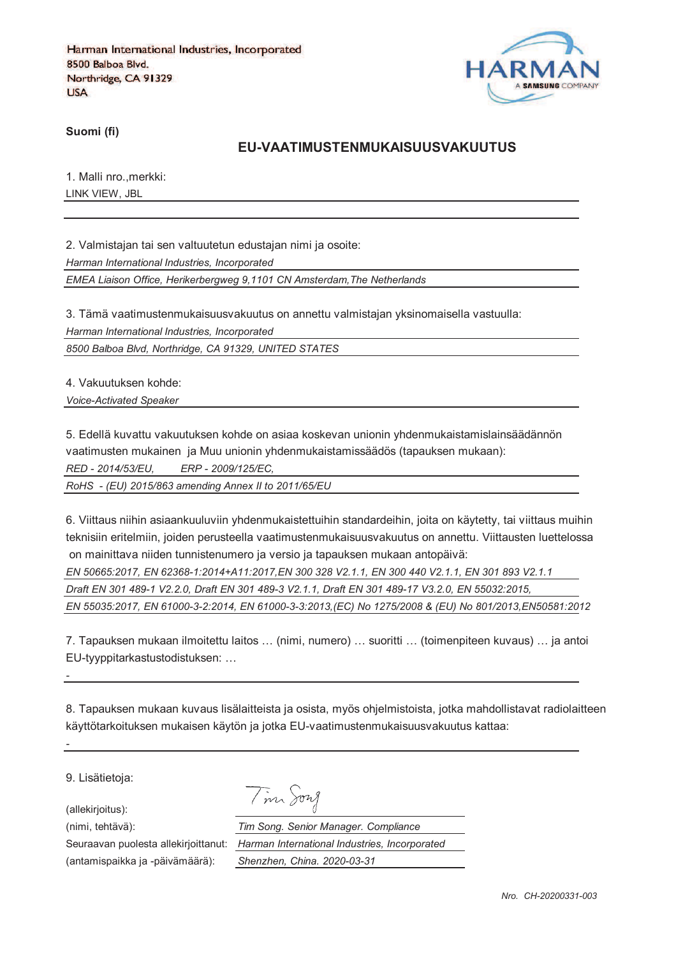

**Suomi (fi)**

#### **EU-VAATIMUSTENMUKAISUUSVAKUUTUS**

1. Malli nro.,merkki: LINK VIEW, JBL

2. Valmistajan tai sen valtuutetun edustajan nimi ja osoite:

*Harman International Industries, Incorporated*

*EMEA Liaison Office, Herikerbergweg 9,1101 CN Amsterdam,The Netherlands*

3. Tämä vaatimustenmukaisuusvakuutus on annettu valmistajan yksinomaisella vastuulla: *Harman International Industries, Incorporated*

*8500 Balboa Blvd, Northridge, CA 91329, UNITED STATES*

4. Vakuutuksen kohde:

*Voice-Activated Speaker* 

5. Edellä kuvattu vakuutuksen kohde on asiaa koskevan unionin yhdenmukaistamislainsäädännön vaatimusten mukainen ja Muu unionin yhdenmukaistamissäädös (tapauksen mukaan):

*RED - 2014/53/EU, ERP - 2009/125/EC,*

*RoHS - (EU) 2015/863 amending Annex II to 2011/65/EU*

6. Viittaus niihin asiaankuuluviin yhdenmukaistettuihin standardeihin, joita on käytetty, tai viittaus muihin teknisiin eritelmiin, joiden perusteella vaatimustenmukaisuusvakuutus on annettu. Viittausten luettelossa on mainittava niiden tunnistenumero ja versio ja tapauksen mukaan antopäivä:

*EN 50665:2017, EN 62368-1:2014+A11:2017,EN 300 328 V2.1.1, EN 300 440 V2.1.1, EN 301 893 V2.1.1 Draft EN 301 489-1 V2.2.0, Draft EN 301 489-3 V2.1.1, Draft EN 301 489-17 V3.2.0, EN 55032:2015, EN 55035:2017, EN 61000-3-2:2014, EN 61000-3-3:2013,(EC) No 1275/2008 & (EU) No 801/2013,EN50581:2012* 

7. Tapauksen mukaan ilmoitettu laitos … (nimi, numero) … suoritti … (toimenpiteen kuvaus) … ja antoi EU-tyyppitarkastustodistuksen: …

8. Tapauksen mukaan kuvaus lisälaitteista ja osista, myös ohjelmistoista, jotka mahdollistavat radiolaitteen käyttötarkoituksen mukaisen käytön ja jotka EU-vaatimustenmukaisuusvakuutus kattaa:

9. Lisätietoja:

*-*

*-*

(allekirjoitus):

Tim Song

(nimi, tehtävä): *Tim Song. Senior Manager. Compliance* Seuraavan puolesta allekirjoittanut: *Harman International Industries, Incorporated* (antamispaikka ja -päivämäärä): *Shenzhen, China. 2020-03-31*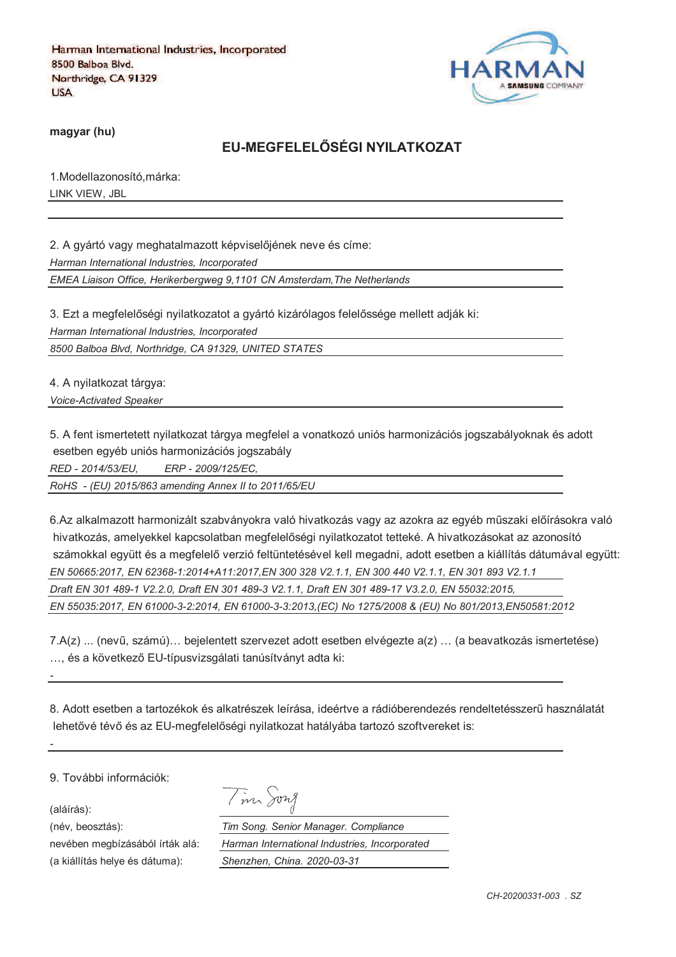

**magyar (hu)**

# **EU-MEGFELELRSÉGI NYILATKOZAT**

1.Modellazonosító,márka: LINK VIEW, JBL

2. A gyártó vagy meghatalmazott képviselőjének neve és címe: *Harman International Industries, Incorporated EMEA Liaison Office, Herikerbergweg 9,1101 CN Amsterdam,The Netherlands*

3. Ezt a megfelelőségi nyilatkozatot a gyártó kizárólagos felelőssége mellett adják ki:

*Harman International Industries, Incorporated*

*8500 Balboa Blvd, Northridge, CA 91329, UNITED STATES*

4. A nyilatkozat tárgya:

*Voice-Activated Speaker* 

5. A fent ismertetett nyilatkozat tárgya megfelel a vonatkozó uniós harmonizációs jogszabályoknak és adott esetben egyéb uniós harmonizációs jogszabály

*RED - 2014/53/EU, ERP - 2009/125/EC,*

*RoHS - (EU) 2015/863 amending Annex II to 2011/65/EU*

6.Az alkalmazott harmonizált szabványokra való hivatkozás vagy az azokra az egyéb műszaki előírásokra való hivatkozás, amelyekkel kapcsolatban megfelelőségi nyilatkozatot tetteké. A hivatkozásokat az azonosító számokkal együtt és a megfelelő verzió feltüntetésével kell megadni, adott esetben a kiállítás dátumával együtt: *EN 50665:2017, EN 62368-1:2014+A11:2017,EN 300 328 V2.1.1, EN 300 440 V2.1.1, EN 301 893 V2.1.1 Draft EN 301 489-1 V2.2.0, Draft EN 301 489-3 V2.1.1, Draft EN 301 489-17 V3.2.0, EN 55032:2015, EN 55035:2017, EN 61000-3-2:2014, EN 61000-3-3:2013,(EC) No 1275/2008 & (EU) No 801/2013,EN50581:2012* 

7.A(z) ... (nevi, számú)… bejelentett szervezet adott esetben elvégezte a(z) … (a beavatkozás ismertetése) ... és a következő EU-típusvizsgálati tanúsítványt adta ki:

8. Adott esetben a tartozékok és alkatrészek leírása, ideértve a rádióberendezés rendeltetésszeri használatát lehetővé tévő és az EU-megfelelőségi nyilatkozat hatályába tartozó szoftvereket is:

9. További információk:

(aláírás):

*-*

*-*

(a kiállítás helye és dátuma): *Shenzhen, China. 2020-03-31*

| m <sub>o</sub> | 72 A |
|----------------|------|
|                |      |

(név, beosztás): *Tim Song. Senior Manager. Compliance* nevében megbízásából írták alá: *Harman International Industries, Incorporated*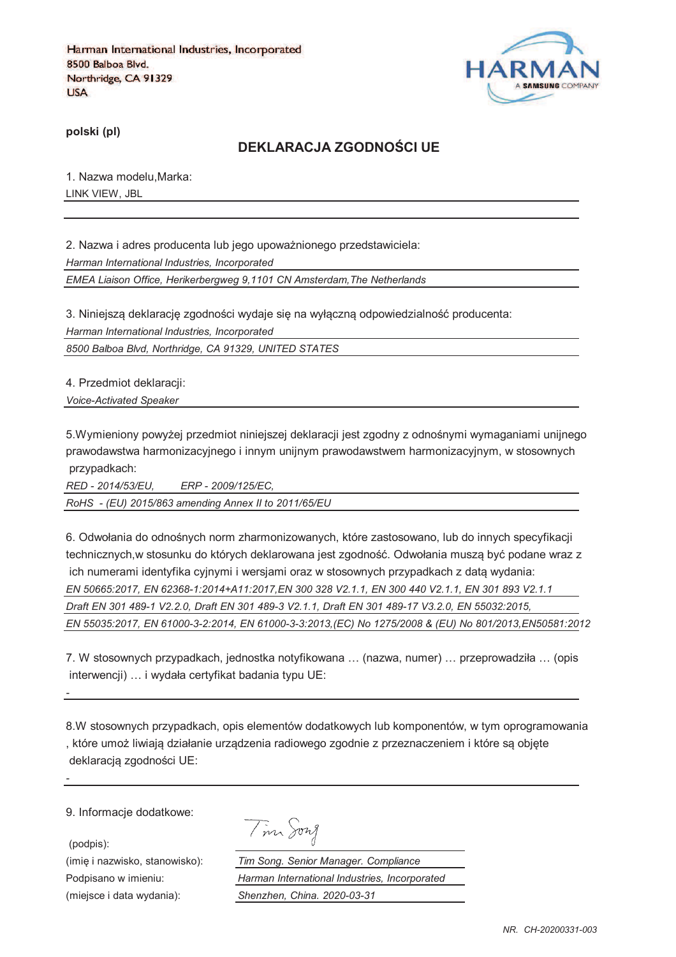

**polski (pl)**

### **DEKLARACJA ZGODNOTCI UE**

1. Nazwa modelu,Marka: LINK VIEW, JBL

2. Nazwa i adres producenta lub jego upoważnionego przedstawiciela: *Harman International Industries, Incorporated EMEA Liaison Office, Herikerbergweg 9,1101 CN Amsterdam,The Netherlands*

3. Niniejszą deklarację zgodności wydaje się na wyłączną odpowiedzialność producenta: *Harman International Industries, Incorporated*

*8500 Balboa Blvd, Northridge, CA 91329, UNITED STATES*

4. Przedmiot deklaracji: *Voice-Activated Speaker* 

5.Wymieniony powyżej przedmiot niniejszej deklaracji jest zgodny z odnośnymi wymaganiami unijnego prawodawstwa harmonizacyjnego i innym unijnym prawodawstwem harmonizacyjnym, w stosownych przypadkach:

*RED - 2014/53/EU, ERP - 2009/125/EC, RoHS - (EU) 2015/863 amending Annex II to 2011/65/EU*

6. Odwołania do odnośnych norm zharmonizowanych, które zastosowano, lub do innych specyfikacji technicznych,w stosunku do których deklarowana jest zgodność. Odwołania musza być podane wraz z ich numerami identyfika cyjnymi i wersjami oraz w stosownych przypadkach z datą wydania: *EN 50665:2017, EN 62368-1:2014+A11:2017,EN 300 328 V2.1.1, EN 300 440 V2.1.1, EN 301 893 V2.1.1 Draft EN 301 489-1 V2.2.0, Draft EN 301 489-3 V2.1.1, Draft EN 301 489-17 V3.2.0, EN 55032:2015, EN 55035:2017, EN 61000-3-2:2014, EN 61000-3-3:2013,(EC) No 1275/2008 & (EU) No 801/2013,EN50581:2012* 

7. W stosownych przypadkach, jednostka notyfikowana … (nazwa, numer) … przeprowadziła … (opis interwencji) … i wydała certyfikat badania typu UE:

8.W stosownych przypadkach, opis elementów dodatkowych lub komponentów, w tym oprogramowania , które umoj liwiaja działanie urzadzenia radiowego zgodnie z przeznaczeniem i które sa objcte deklaracją zgodności UE:

9. Informacje dodatkowe:

*-*

*-*

(podpis):

Tim Song

(imię i nazwisko, stanowisko): *Tim Song. Senior Manager. Compliance* Podpisano w imieniu: *Harman International Industries, Incorporated* (miejsce i data wydania): *Shenzhen, China. 2020-03-31*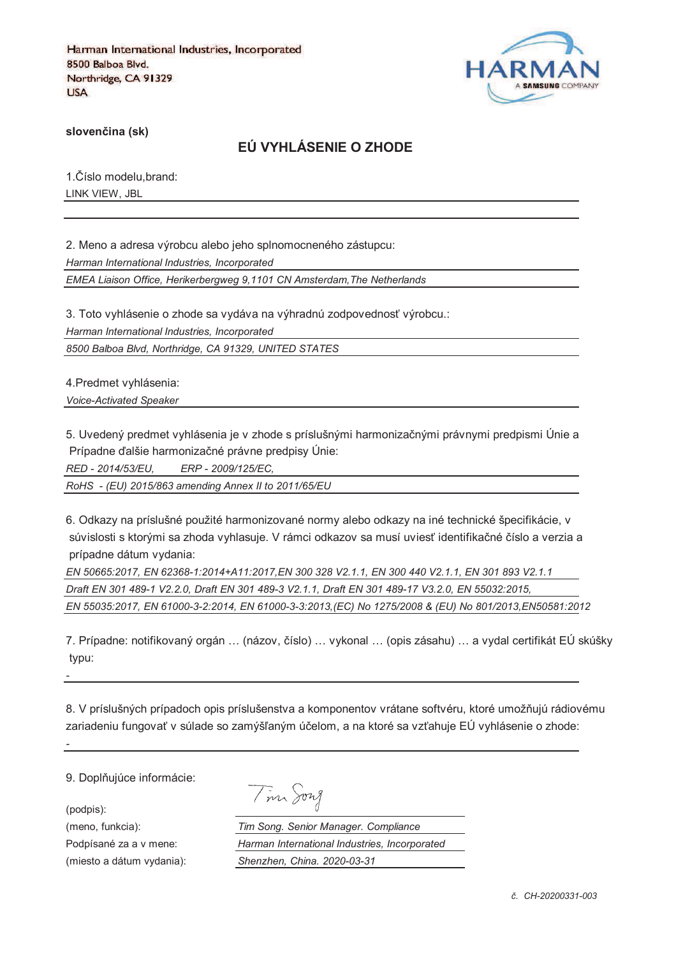

**sloven%ina (sk)**

# **EÚ VYHLÁSENIE O ZHODE**

1. Číslo modelu, brand: LINK VIEW, JBL

2. Meno a adresa výrobcu alebo jeho splnomocneného zástupcu: *Harman International Industries, Incorporated EMEA Liaison Office, Herikerbergweg 9,1101 CN Amsterdam,The Netherlands*

3. Toto vyhlásenie o zhode sa vydáva na výhradnú zodpovednosť výrobcu.:

*Harman International Industries, Incorporated*

*8500 Balboa Blvd, Northridge, CA 91329, UNITED STATES*

4.Predmet vyhlásenia: *Voice-Activated Speaker* 

5. Uvedený predmet vyhlásenia je v zhode s príslušnými harmonizačnými právnymi predpismi Únie a Prípadne ďalšie harmonizačné právne predpisy Únie:

*RED - 2014/53/EU, ERP - 2009/125/EC,*

*RoHS - (EU) 2015/863 amending Annex II to 2011/65/EU*

6. Odkazy na príslušné použité harmonizované normy alebo odkazy na iné technické špecifikácie, v súvislosti s ktorými sa zhoda vyhlasuje. V rámci odkazov sa musí uviesť identifikačné číslo a verzia a prípadne dátum vydania:

*EN 50665:2017, EN 62368-1:2014+A11:2017,EN 300 328 V2.1.1, EN 300 440 V2.1.1, EN 301 893 V2.1.1 Draft EN 301 489-1 V2.2.0, Draft EN 301 489-3 V2.1.1, Draft EN 301 489-17 V3.2.0, EN 55032:2015, EN 55035:2017, EN 61000-3-2:2014, EN 61000-3-3:2013,(EC) No 1275/2008 & (EU) No 801/2013,EN50581:2012* 

7. Prípadne: notifikovaný orgán ... (názov, číslo) ... vykonal ... (opis zásahu) ... a vydal certifikát EÚ skúšky typu:

8. V príslušných prípadoch opis príslušenstva a komponentov vrátane softvéru, ktoré umožňujú rádiovému zariadeniu fungovať v súlade so zamýšľaným účelom, a na ktoré sa vzťahuje EÚ vyhlásenie o zhode:

9. Doplňujúce informácie:

(podpis):

*-*

*-*

| vng<br>4 |
|----------|
|          |

(meno, funkcia): *Tim Song. Senior Manager. Compliance* Podpísané za a v mene: *Harman International Industries, Incorporated* (miesto a dátum vydania): *Shenzhen, China. 2020-03-31*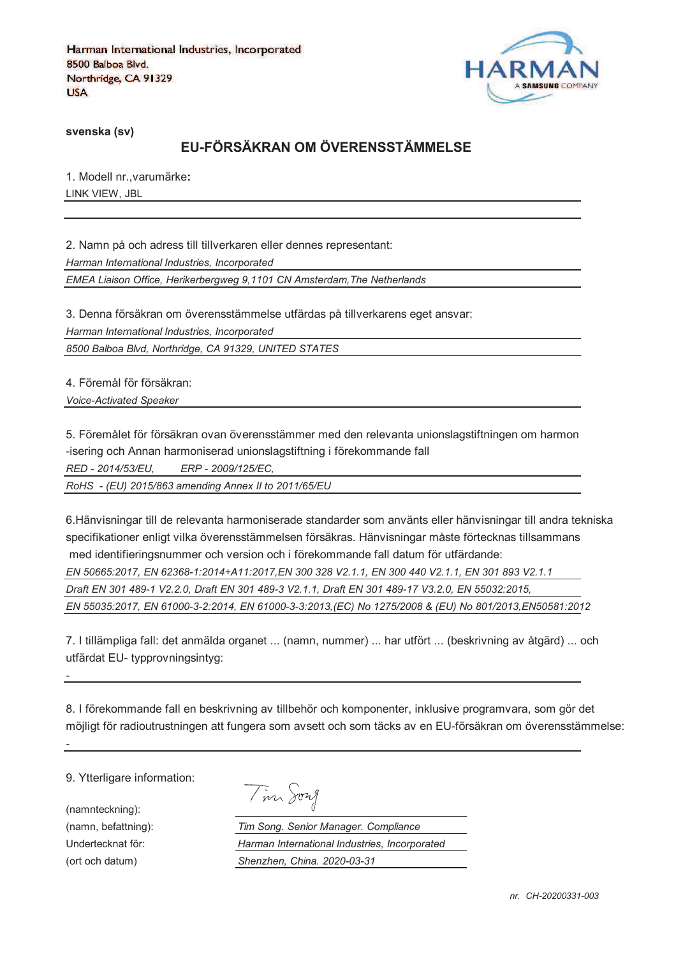

**svenska (sv)**

# **EU-FÖRSÄKRAN OM ÖVERENSSTÄMMELSE**

1. Modell nr.,varumärke**:** LINK VIEW, JBL

2. Namn på och adress till tillverkaren eller dennes representant: *Harman International Industries, Incorporated EMEA Liaison Office, Herikerbergweg 9,1101 CN Amsterdam,The Netherlands*

3. Denna försäkran om överensstämmelse utfärdas på tillverkarens eget ansvar: *Harman International Industries, Incorporated*

*8500 Balboa Blvd, Northridge, CA 91329, UNITED STATES*

4. Föremål för försäkran: *Voice-Activated Speaker* 

5. Föremålet för försäkran ovan överensstämmer med den relevanta unionslagstiftningen om harmon -isering och Annan harmoniserad unionslagstiftning i förekommande fall *RED - 2014/53/EU, ERP - 2009/125/EC,*

*RoHS - (EU) 2015/863 amending Annex II to 2011/65/EU*

6.Hänvisningar till de relevanta harmoniserade standarder som använts eller hänvisningar till andra tekniska specifikationer enligt vilka överensstämmelsen försäkras. Hänvisningar måste förtecknas tillsammans med identifieringsnummer och version och i förekommande fall datum för utfärdande:

*EN 50665:2017, EN 62368-1:2014+A11:2017,EN 300 328 V2.1.1, EN 300 440 V2.1.1, EN 301 893 V2.1.1 Draft EN 301 489-1 V2.2.0, Draft EN 301 489-3 V2.1.1, Draft EN 301 489-17 V3.2.0, EN 55032:2015, EN 55035:2017, EN 61000-3-2:2014, EN 61000-3-3:2013,(EC) No 1275/2008 & (EU) No 801/2013,EN50581:2012* 

7. I tillämpliga fall: det anmälda organet ... (namn, nummer) ... har utfört ... (beskrivning av åtgärd) ... och utfärdat EU- typprovningsintyg:

8. I förekommande fall en beskrivning av tillbehör och komponenter, inklusive programvara, som gör det möjligt för radioutrustningen att fungera som avsett och som täcks av en EU-försäkran om överensstämmelse:

9. Ytterligare information:

(namnteckning):

*-*

*-*

Tim Song

(namn, befattning): *Tim Song. Senior Manager. Compliance* Undertecknat för: *Harman International Industries, Incorporated* (ort och datum) *Shenzhen, China. 2020-03-31*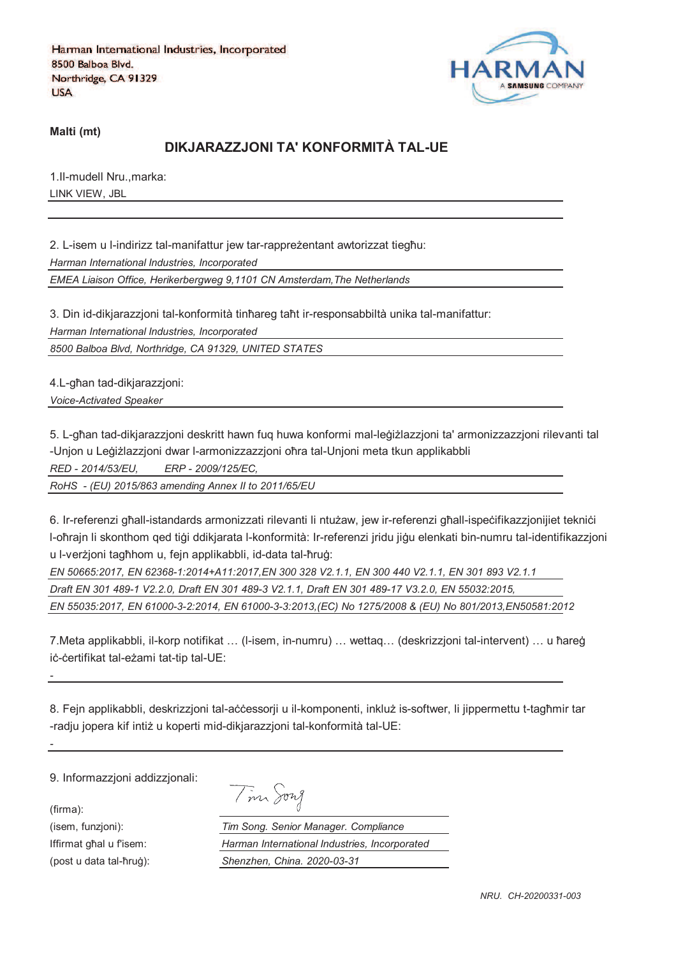

**Malti (mt)**

# **DIKJARAZZJONI TA' KONFORMITÀ TAL-UE**

1.Il-mudell Nru.,marka: LINK VIEW, JBL

2. L-isem u l-indirizz tal-manifattur jew tar-rappreżentant awtorizzat tiegħu: *Harman International Industries, Incorporated EMEA Liaison Office, Herikerbergweg 9,1101 CN Amsterdam,The Netherlands*

3. Din id-dikjarazzjoni tal-konformità tinħareg taħt ir-responsabbiltà unika tal-manifattur:

*Harman International Industries, Incorporated*

*8500 Balboa Blvd, Northridge, CA 91329, UNITED STATES*

4.L-ghan tad-dikjarazzjoni: *Voice-Activated Speaker* 

5. L-għan tad-dikiarazzioni deskritt hawn fug huwa konformi mal-leġiżlazzioni ta' armonizzazzioni rilevanti tal -Unjon u Leģiżlazzjoni dwar l-armonizzazzjoni oħra tal-Unjoni meta tkun applikabbli

*RED - 2014/53/EU, ERP - 2009/125/EC,*

*RoHS - (EU) 2015/863 amending Annex II to 2011/65/EU*

6. Ir-referenzi ghall-istandards armonizzati rilevanti li ntużaw, jew ir-referenzi ghall-ispecifikazzjonijiet teknici l-oħrajn li skonthom qed tiģi ddikjarata l-konformità: Ir-referenzi jridu jiġu elenkati bin-numru tal-identifikazzjoni u l-verzioni taghhom u, fein applikabbli, id-data tal-hrug:

*EN 50665:2017, EN 62368-1:2014+A11:2017,EN 300 328 V2.1.1, EN 300 440 V2.1.1, EN 301 893 V2.1.1 Draft EN 301 489-1 V2.2.0, Draft EN 301 489-3 V2.1.1, Draft EN 301 489-17 V3.2.0, EN 55032:2015, EN 55035:2017, EN 61000-3-2:2014, EN 61000-3-3:2013,(EC) No 1275/2008 & (EU) No 801/2013,EN50581:2012* 

7.Meta applikabbli, il-korp notifikat ... (I-isem, in-numru) ... wettaq... (deskrizzjoni tal-intervent) ... u ħareġ iċ-ċertifikat tal-eżami tat-tip tal-UE:

8. Fejn applikabbli, deskrizzjoni tal-accessorji u il-komponenti, inkluž is-softwer, li jippermettu t-tagħmir tar -radju jopera kif intiż u koperti mid-dikjarazzjoni tal-konformità tal-UE:

9. Informazzjoni addizzjonali:

(firma):

*-*

*-*

| $\overline{\phantom{a}}$ | $\eta\gamma$ ל מ |
|--------------------------|------------------|
|--------------------------|------------------|

(isem, funzjoni): *Tim Song. Senior Manager. Compliance* Iffirmat ghal u fisem: *Harman International Industries, Incorporated* (post u data tal-qrur): *Shenzhen, China. 2020-03-31*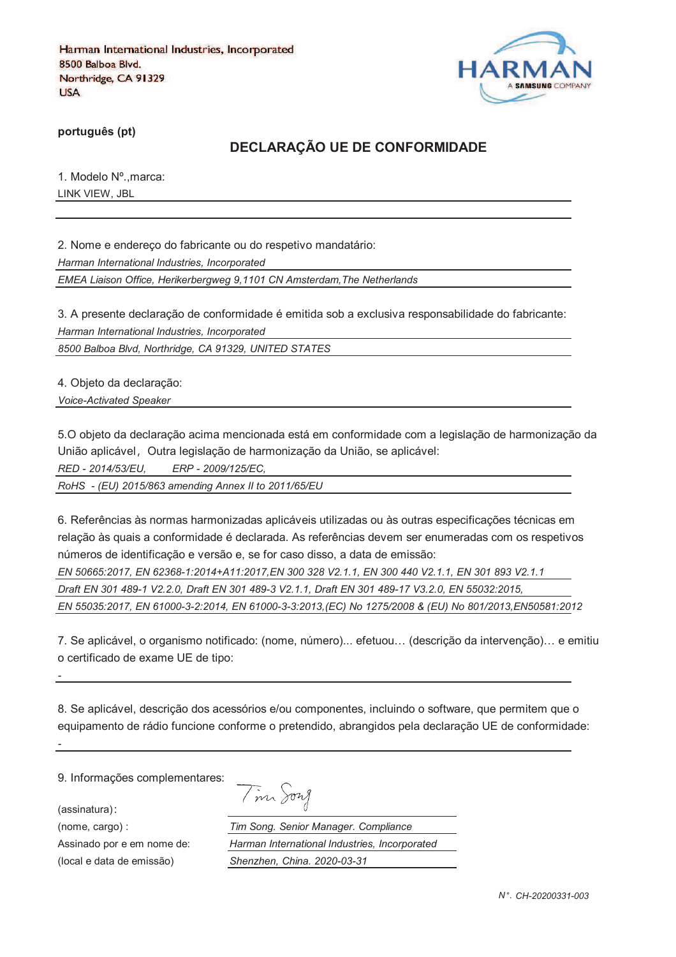

**português (pt)**

## **DECLARAÇÃO UE DE CONFORMIDADE**

1. Modelo Nº.,marca: LINK VIEW, JBL

2. Nome e endereço do fabricante ou do respetivo mandatário:

*Harman International Industries, Incorporated*

*EMEA Liaison Office, Herikerbergweg 9,1101 CN Amsterdam,The Netherlands*

3. A presente declaração de conformidade é emitida sob a exclusiva responsabilidade do fabricante: *Harman International Industries, Incorporated*

*8500 Balboa Blvd, Northridge, CA 91329, UNITED STATES*

4. Objeto da declaração:

*Voice-Activated Speaker* 

5.O objeto da declaração acima mencionada está em conformidade com a legislação de harmonização da União aplicável, Outra legislação de harmonização da União, se aplicável:

*RED - 2014/53/EU, ERP - 2009/125/EC,*

*RoHS - (EU) 2015/863 amending Annex II to 2011/65/EU*

6. Referências às normas harmonizadas aplicáveis utilizadas ou às outras especificações técnicas em relação às quais a conformidade é declarada. As referências devem ser enumeradas com os respetivos números de identificação e versão e, se for caso disso, a data de emissão:

*EN 50665:2017, EN 62368-1:2014+A11:2017,EN 300 328 V2.1.1, EN 300 440 V2.1.1, EN 301 893 V2.1.1 Draft EN 301 489-1 V2.2.0, Draft EN 301 489-3 V2.1.1, Draft EN 301 489-17 V3.2.0, EN 55032:2015, EN 55035:2017, EN 61000-3-2:2014, EN 61000-3-3:2013,(EC) No 1275/2008 & (EU) No 801/2013,EN50581:2012* 

7. Se aplicável, o organismo notificado: (nome, número)... efetuou… (descrição da intervenção)… e emitiu o certificado de exame UE de tipo:

8. Se aplicável, descrição dos acessórios e/ou componentes, incluindo o software, que permitem que o equipamento de rádio funcione conforme o pretendido, abrangidos pela declaração UE de conformidade:

9. Informações complementares:

(assinatura)

*-*

*-*

|  | 1727 |
|--|------|
|--|------|

(nome, cargo) : *Tim Song. Senior Manager. Compliance* Assinado por e em nome de: *Harman International Industries, Incorporated* (local e data de emissão) *Shenzhen, China. 2020-03-31*